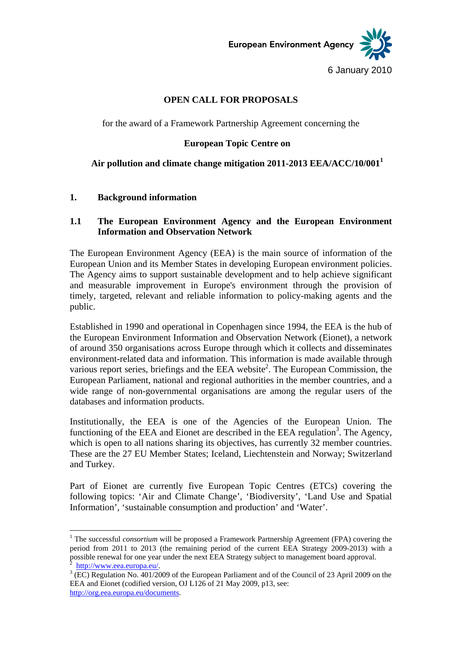European Environment Agency

6 January 2010

### **OPEN CALL FOR PROPOSALS**

for the award of a Framework Partnership Agreement concerning the

### **European Topic Centre on**

# **Air pollution and climate change mitigation 2011-2013 EEA/ACC/10/0011**

#### **1. Background information**

### **1.1 The European Environment Agency and the European Environment Information and Observation Network**

The European Environment Agency (EEA) is the main source of information of the European Union and its Member States in developing European environment policies. The Agency aims to support sustainable development and to help achieve significant and measurable improvement in Europe's environment through the provision of timely, targeted, relevant and reliable information to policy-making agents and the public.

Established in 1990 and operational in Copenhagen since 1994, the EEA is the hub of the European Environment Information and Observation Network (Eionet), a network of around 350 organisations across Europe through which it collects and disseminates environment-related data and information. This information is made available through various report series, briefings and the EEA website<sup>2</sup>. The European Commission, the European Parliament, national and regional authorities in the member countries, and a wide range of non-governmental organisations are among the regular users of the databases and information products.

Institutionally, the EEA is one of the Agencies of the European Union. The functioning of the EEA and Eionet are described in the EEA regulation<sup>3</sup>. The Agency, which is open to all nations sharing its objectives, has currently 32 member countries. These are the 27 EU Member States; Iceland, Liechtenstein and Norway; Switzerland and Turkey.

Part of Eionet are currently five European Topic Centres (ETCs) covering the following topics: 'Air and Climate Change', 'Biodiversity', 'Land Use and Spatial Information', 'sustainable consumption and production' and 'Water'.

1

<sup>&</sup>lt;sup>1</sup> The successful *consortium* will be proposed a Framework Partnership Agreement (FPA) covering the period from 2011 to 2013 (the remaining period of the current EEA Strategy 2009-2013) with a possible renewal for one year under the next EEA Strategy subject to management board approval.

http://www.eea.europa.eu/.

 $3$  (EC) Regulation No. 401/2009 of the European Parliament and of the Council of 23 April 2009 on the EEA and Eionet (codified version, OJ L126 of 21 May 2009, p13, see: http://org.eea.europa.eu/documents.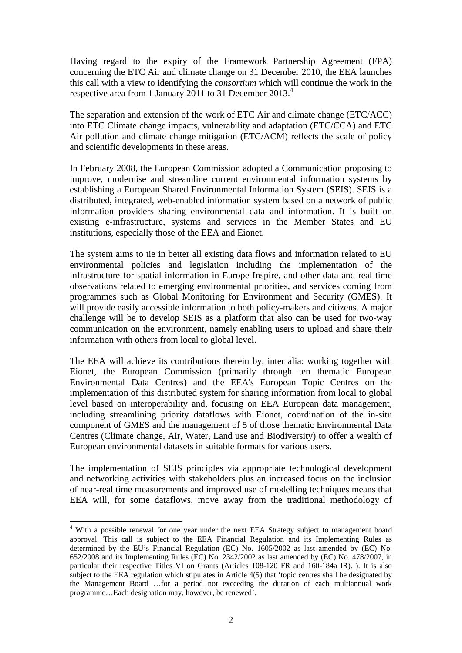Having regard to the expiry of the Framework Partnership Agreement (FPA) concerning the ETC Air and climate change on 31 December 2010, the EEA launches this call with a view to identifying the *consortium* which will continue the work in the respective area from 1 January 2011 to 31 December 2013.<sup>4</sup>

The separation and extension of the work of ETC Air and climate change (ETC/ACC) into ETC Climate change impacts, vulnerability and adaptation (ETC/CCA) and ETC Air pollution and climate change mitigation (ETC/ACM) reflects the scale of policy and scientific developments in these areas.

In February 2008, the European Commission adopted a Communication proposing to improve, modernise and streamline current environmental information systems by establishing a European Shared Environmental Information System (SEIS). SEIS is a distributed, integrated, web-enabled information system based on a network of public information providers sharing environmental data and information. It is built on existing e-infrastructure, systems and services in the Member States and EU institutions, especially those of the EEA and Eionet.

The system aims to tie in better all existing data flows and information related to EU environmental policies and legislation including the implementation of the infrastructure for spatial information in Europe Inspire, and other data and real time observations related to emerging environmental priorities, and services coming from programmes such as Global Monitoring for Environment and Security (GMES). It will provide easily accessible information to both policy-makers and citizens. A major challenge will be to develop SEIS as a platform that also can be used for two-way communication on the environment, namely enabling users to upload and share their information with others from local to global level.

The EEA will achieve its contributions therein by, inter alia: working together with Eionet, the European Commission (primarily through ten thematic European Environmental Data Centres) and the EEA's European Topic Centres on the implementation of this distributed system for sharing information from local to global level based on interoperability and, focusing on EEA European data management, including streamlining priority dataflows with Eionet, coordination of the in-situ component of GMES and the management of 5 of those thematic Environmental Data Centres (Climate change, Air, Water, Land use and Biodiversity) to offer a wealth of European environmental datasets in suitable formats for various users.

The implementation of SEIS principles via appropriate technological development and networking activities with stakeholders plus an increased focus on the inclusion of near-real time measurements and improved use of modelling techniques means that EEA will, for some dataflows, move away from the traditional methodology of

<u>.</u>

<sup>&</sup>lt;sup>4</sup> With a possible renewal for one year under the next EEA Strategy subject to management board approval. This call is subject to the EEA Financial Regulation and its Implementing Rules as determined by the EU's Financial Regulation (EC) No. 1605/2002 as last amended by (EC) No. 652/2008 and its Implementing Rules (EC) No. 2342/2002 as last amended by (EC) No. 478/2007, in particular their respective Titles VI on Grants (Articles 108-120 FR and 160-184a IR). ). It is also subject to the EEA regulation which stipulates in Article 4(5) that 'topic centres shall be designated by the Management Board …for a period not exceeding the duration of each multiannual work programme…Each designation may, however, be renewed'.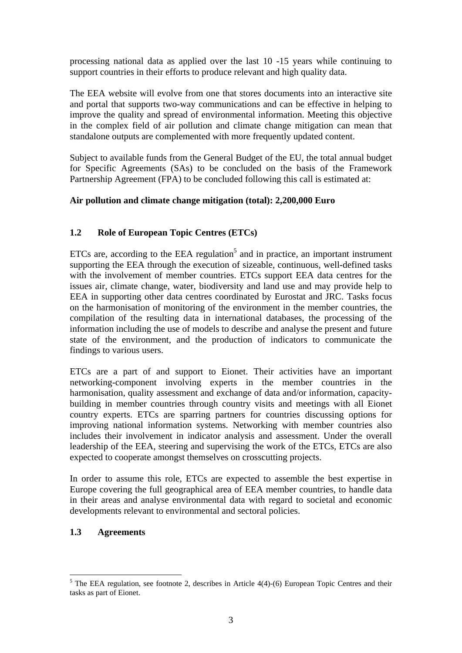processing national data as applied over the last 10 -15 years while continuing to support countries in their efforts to produce relevant and high quality data.

The EEA website will evolve from one that stores documents into an interactive site and portal that supports two-way communications and can be effective in helping to improve the quality and spread of environmental information. Meeting this objective in the complex field of air pollution and climate change mitigation can mean that standalone outputs are complemented with more frequently updated content.

Subject to available funds from the General Budget of the EU, the total annual budget for Specific Agreements (SAs) to be concluded on the basis of the Framework Partnership Agreement (FPA) to be concluded following this call is estimated at:

### **Air pollution and climate change mitigation (total): 2,200,000 Euro**

# **1.2 Role of European Topic Centres (ETCs)**

ETCs are, according to the EEA regulation<sup>5</sup> and in practice, an important instrument supporting the EEA through the execution of sizeable, continuous, well-defined tasks with the involvement of member countries. ETCs support EEA data centres for the issues air, climate change, water, biodiversity and land use and may provide help to EEA in supporting other data centres coordinated by Eurostat and JRC. Tasks focus on the harmonisation of monitoring of the environment in the member countries, the compilation of the resulting data in international databases, the processing of the information including the use of models to describe and analyse the present and future state of the environment, and the production of indicators to communicate the findings to various users.

ETCs are a part of and support to Eionet. Their activities have an important networking-component involving experts in the member countries in the harmonisation, quality assessment and exchange of data and/or information, capacitybuilding in member countries through country visits and meetings with all Eionet country experts. ETCs are sparring partners for countries discussing options for improving national information systems. Networking with member countries also includes their involvement in indicator analysis and assessment. Under the overall leadership of the EEA, steering and supervising the work of the ETCs, ETCs are also expected to cooperate amongst themselves on crosscutting projects.

In order to assume this role, ETCs are expected to assemble the best expertise in Europe covering the full geographical area of EEA member countries, to handle data in their areas and analyse environmental data with regard to societal and economic developments relevant to environmental and sectoral policies.

### **1.3 Agreements**

<sup>&</sup>lt;u>.</u>  $<sup>5</sup>$  The EEA regulation, see footnote 2, describes in Article 4(4)-(6) European Topic Centres and their</sup> tasks as part of Eionet.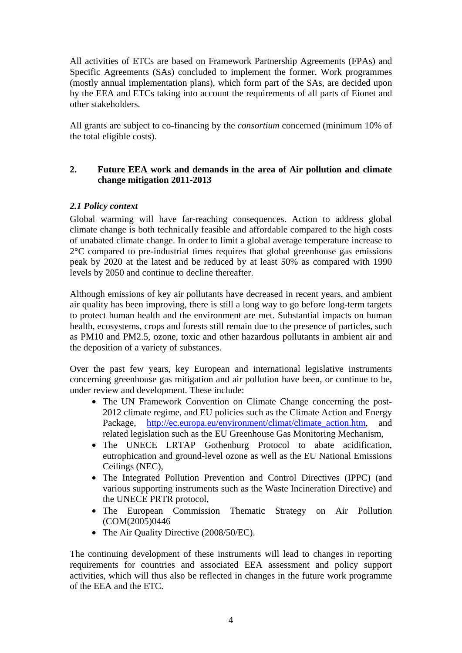All activities of ETCs are based on Framework Partnership Agreements (FPAs) and Specific Agreements (SAs) concluded to implement the former. Work programmes (mostly annual implementation plans), which form part of the SAs, are decided upon by the EEA and ETCs taking into account the requirements of all parts of Eionet and other stakeholders.

All grants are subject to co-financing by the *consortium* concerned (minimum 10% of the total eligible costs).

### **2. Future EEA work and demands in the area of Air pollution and climate change mitigation 2011-2013**

### *2.1 Policy context*

Global warming will have far-reaching consequences. Action to address global climate change is both technically feasible and affordable compared to the high costs of unabated climate change. In order to limit a global average temperature increase to 2°C compared to pre-industrial times requires that global greenhouse gas emissions peak by 2020 at the latest and be reduced by at least 50% as compared with 1990 levels by 2050 and continue to decline thereafter.

Although emissions of key air pollutants have decreased in recent years, and ambient air quality has been improving, there is still a long way to go before long-term targets to protect human health and the environment are met. Substantial impacts on human health, ecosystems, crops and forests still remain due to the presence of particles, such as PM10 and PM2.5, ozone, toxic and other hazardous pollutants in ambient air and the deposition of a variety of substances.

Over the past few years, key European and international legislative instruments concerning greenhouse gas mitigation and air pollution have been, or continue to be, under review and development. These include:

- The UN Framework Convention on Climate Change concerning the post-2012 climate regime, and EU policies such as the Climate Action and Energy Package, http://ec.europa.eu/environment/climat/climate\_action.htm, and related legislation such as the EU Greenhouse Gas Monitoring Mechanism,
- The UNECE LRTAP Gothenburg Protocol to abate acidification, eutrophication and ground-level ozone as well as the EU National Emissions Ceilings (NEC),
- The Integrated Pollution Prevention and Control Directives (IPPC) (and various supporting instruments such as the Waste Incineration Directive) and the UNECE PRTR protocol,
- The European Commission Thematic Strategy on Air Pollution (COM(2005)0446
- The Air Quality Directive (2008/50/EC).

The continuing development of these instruments will lead to changes in reporting requirements for countries and associated EEA assessment and policy support activities, which will thus also be reflected in changes in the future work programme of the EEA and the ETC.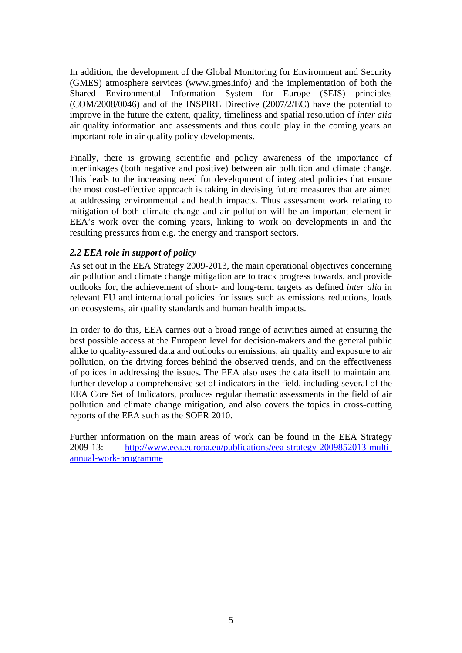In addition, the development of the Global Monitoring for Environment and Security (GMES) atmosphere services (www.gmes.info*)* and the implementation of both the Shared Environmental Information System for Europe (SEIS) principles (COM/2008/0046) and of the INSPIRE Directive (2007/2/EC) have the potential to improve in the future the extent, quality, timeliness and spatial resolution of *inter alia*  air quality information and assessments and thus could play in the coming years an important role in air quality policy developments.

Finally, there is growing scientific and policy awareness of the importance of interlinkages (both negative and positive) between air pollution and climate change. This leads to the increasing need for development of integrated policies that ensure the most cost-effective approach is taking in devising future measures that are aimed at addressing environmental and health impacts. Thus assessment work relating to mitigation of both climate change and air pollution will be an important element in EEA's work over the coming years, linking to work on developments in and the resulting pressures from e.g. the energy and transport sectors.

### *2.2 EEA role in support of policy*

As set out in the EEA Strategy 2009-2013, the main operational objectives concerning air pollution and climate change mitigation are to track progress towards, and provide outlooks for, the achievement of short- and long-term targets as defined *inter alia* in relevant EU and international policies for issues such as emissions reductions, loads on ecosystems, air quality standards and human health impacts.

In order to do this, EEA carries out a broad range of activities aimed at ensuring the best possible access at the European level for decision-makers and the general public alike to quality-assured data and outlooks on emissions, air quality and exposure to air pollution, on the driving forces behind the observed trends, and on the effectiveness of polices in addressing the issues. The EEA also uses the data itself to maintain and further develop a comprehensive set of indicators in the field, including several of the EEA Core Set of Indicators, produces regular thematic assessments in the field of air pollution and climate change mitigation, and also covers the topics in cross-cutting reports of the EEA such as the SOER 2010.

Further information on the main areas of work can be found in the EEA Strategy 2009-13: http://www.eea.europa.eu/publications/eea-strategy-2009852013-multiannual-work-programme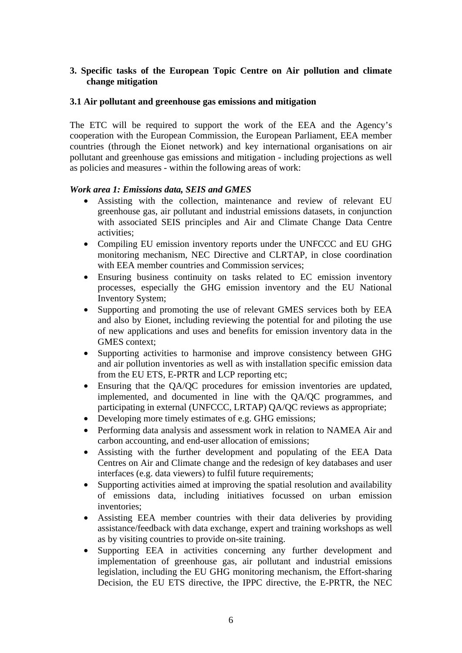### **3. Specific tasks of the European Topic Centre on Air pollution and climate change mitigation**

#### **3.1 Air pollutant and greenhouse gas emissions and mitigation**

The ETC will be required to support the work of the EEA and the Agency's cooperation with the European Commission, the European Parliament, EEA member countries (through the Eionet network) and key international organisations on air pollutant and greenhouse gas emissions and mitigation - including projections as well as policies and measures - within the following areas of work:

### *Work area 1: Emissions data, SEIS and GMES*

- Assisting with the collection, maintenance and review of relevant EU greenhouse gas, air pollutant and industrial emissions datasets, in conjunction with associated SEIS principles and Air and Climate Change Data Centre activities;
- Compiling EU emission inventory reports under the UNFCCC and EU GHG monitoring mechanism, NEC Directive and CLRTAP, in close coordination with EEA member countries and Commission services:
- Ensuring business continuity on tasks related to EC emission inventory processes, especially the GHG emission inventory and the EU National Inventory System;
- Supporting and promoting the use of relevant GMES services both by EEA and also by Eionet, including reviewing the potential for and piloting the use of new applications and uses and benefits for emission inventory data in the GMES context;
- Supporting activities to harmonise and improve consistency between GHG and air pollution inventories as well as with installation specific emission data from the EU ETS, E-PRTR and LCP reporting etc;
- Ensuring that the QA/QC procedures for emission inventories are updated, implemented, and documented in line with the QA/QC programmes, and participating in external (UNFCCC, LRTAP) QA/QC reviews as appropriate;
- Developing more timely estimates of e.g. GHG emissions;
- Performing data analysis and assessment work in relation to NAMEA Air and carbon accounting, and end-user allocation of emissions;
- Assisting with the further development and populating of the EEA Data Centres on Air and Climate change and the redesign of key databases and user interfaces (e.g. data viewers) to fulfil future requirements;
- Supporting activities aimed at improving the spatial resolution and availability of emissions data, including initiatives focussed on urban emission inventories;
- Assisting EEA member countries with their data deliveries by providing assistance/feedback with data exchange, expert and training workshops as well as by visiting countries to provide on-site training.
- Supporting EEA in activities concerning any further development and implementation of greenhouse gas, air pollutant and industrial emissions legislation, including the EU GHG monitoring mechanism, the Effort-sharing Decision, the EU ETS directive, the IPPC directive, the E-PRTR, the NEC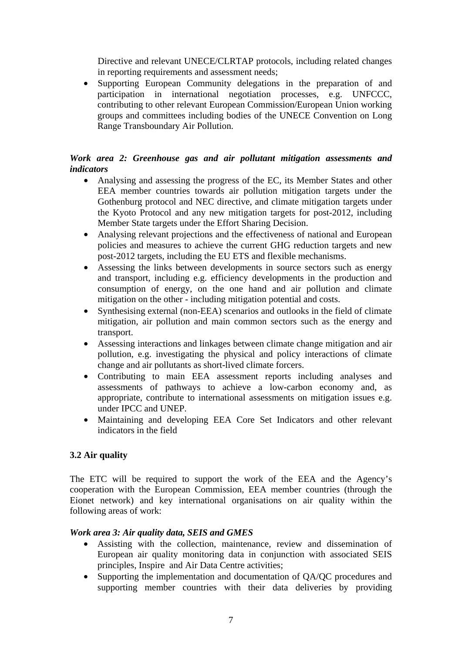Directive and relevant UNECE/CLRTAP protocols, including related changes in reporting requirements and assessment needs;

• Supporting European Community delegations in the preparation of and participation in international negotiation processes, e.g. UNFCCC, contributing to other relevant European Commission/European Union working groups and committees including bodies of the UNECE Convention on Long Range Transboundary Air Pollution.

# *Work area 2: Greenhouse gas and air pollutant mitigation assessments and indicators*

- Analysing and assessing the progress of the EC, its Member States and other EEA member countries towards air pollution mitigation targets under the Gothenburg protocol and NEC directive, and climate mitigation targets under the Kyoto Protocol and any new mitigation targets for post-2012, including Member State targets under the Effort Sharing Decision.
- Analysing relevant projections and the effectiveness of national and European policies and measures to achieve the current GHG reduction targets and new post-2012 targets, including the EU ETS and flexible mechanisms.
- Assessing the links between developments in source sectors such as energy and transport, including e.g. efficiency developments in the production and consumption of energy, on the one hand and air pollution and climate mitigation on the other - including mitigation potential and costs.
- Synthesising external (non-EEA) scenarios and outlooks in the field of climate mitigation, air pollution and main common sectors such as the energy and transport.
- Assessing interactions and linkages between climate change mitigation and air pollution, e.g. investigating the physical and policy interactions of climate change and air pollutants as short-lived climate forcers.
- Contributing to main EEA assessment reports including analyses and assessments of pathways to achieve a low-carbon economy and, as appropriate, contribute to international assessments on mitigation issues e.g. under IPCC and UNEP.
- Maintaining and developing EEA Core Set Indicators and other relevant indicators in the field

### **3.2 Air quality**

The ETC will be required to support the work of the EEA and the Agency's cooperation with the European Commission, EEA member countries (through the Eionet network) and key international organisations on air quality within the following areas of work:

### *Work area 3: Air quality data, SEIS and GMES*

- Assisting with the collection, maintenance, review and dissemination of European air quality monitoring data in conjunction with associated SEIS principles, Inspire and Air Data Centre activities;
- Supporting the implementation and documentation of OA/OC procedures and supporting member countries with their data deliveries by providing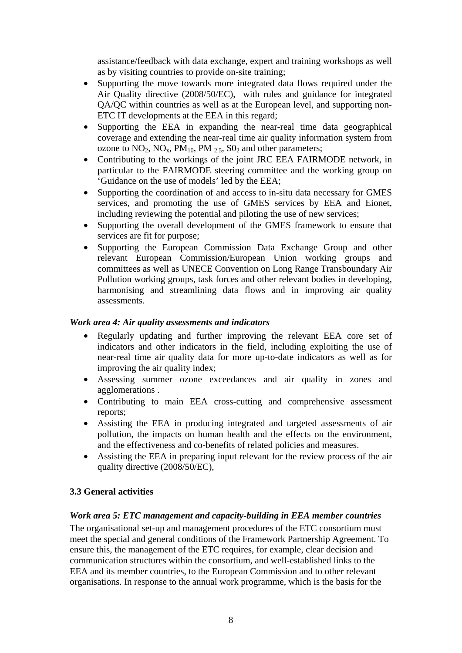assistance/feedback with data exchange, expert and training workshops as well as by visiting countries to provide on-site training;

- Supporting the move towards more integrated data flows required under the Air Quality directive (2008/50/EC), with rules and guidance for integrated QA/QC within countries as well as at the European level, and supporting non-ETC IT developments at the EEA in this regard;
- Supporting the EEA in expanding the near-real time data geographical coverage and extending the near-real time air quality information system from ozone to  $NO_2$ ,  $NO_x$ ,  $PM_{10}$ ,  $PM_{2.5}$ ,  $SO_2$  and other parameters;
- Contributing to the workings of the joint JRC EEA FAIRMODE network, in particular to the FAIRMODE steering committee and the working group on 'Guidance on the use of models' led by the EEA;
- Supporting the coordination of and access to in-situ data necessary for GMES services, and promoting the use of GMES services by EEA and Eionet, including reviewing the potential and piloting the use of new services;
- Supporting the overall development of the GMES framework to ensure that services are fit for purpose;
- Supporting the European Commission Data Exchange Group and other relevant European Commission/European Union working groups and committees as well as UNECE Convention on Long Range Transboundary Air Pollution working groups, task forces and other relevant bodies in developing, harmonising and streamlining data flows and in improving air quality assessments.

### *Work area 4: Air quality assessments and indicators*

- Regularly updating and further improving the relevant EEA core set of indicators and other indicators in the field, including exploiting the use of near-real time air quality data for more up-to-date indicators as well as for improving the air quality index;
- Assessing summer ozone exceedances and air quality in zones and agglomerations .
- Contributing to main EEA cross-cutting and comprehensive assessment reports;
- Assisting the EEA in producing integrated and targeted assessments of air pollution, the impacts on human health and the effects on the environment, and the effectiveness and co-benefits of related policies and measures.
- Assisting the EEA in preparing input relevant for the review process of the air quality directive (2008/50/EC),

### **3.3 General activities**

#### *Work area 5: ETC management and capacity-building in EEA member countries*

The organisational set-up and management procedures of the ETC consortium must meet the special and general conditions of the Framework Partnership Agreement. To ensure this, the management of the ETC requires, for example, clear decision and communication structures within the consortium, and well-established links to the EEA and its member countries, to the European Commission and to other relevant organisations. In response to the annual work programme, which is the basis for the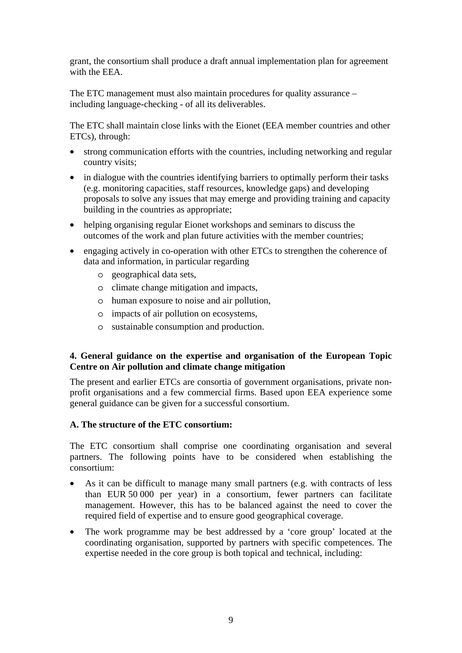grant, the consortium shall produce a draft annual implementation plan for agreement with the EEA.

The ETC management must also maintain procedures for quality assurance – including language-checking - of all its deliverables.

The ETC shall maintain close links with the Eionet (EEA member countries and other ETCs), through:

- strong communication efforts with the countries, including networking and regular country visits;
- in dialogue with the countries identifying barriers to optimally perform their tasks (e.g. monitoring capacities, staff resources, knowledge gaps) and developing proposals to solve any issues that may emerge and providing training and capacity building in the countries as appropriate;
- helping organising regular Eionet workshops and seminars to discuss the outcomes of the work and plan future activities with the member countries;
- engaging actively in co-operation with other ETCs to strengthen the coherence of data and information, in particular regarding
	- o geographical data sets,
	- o climate change mitigation and impacts,
	- o human exposure to noise and air pollution,
	- o impacts of air pollution on ecosystems,
	- o sustainable consumption and production.

### **4. General guidance on the expertise and organisation of the European Topic Centre on Air pollution and climate change mitigation**

The present and earlier ETCs are consortia of government organisations, private nonprofit organisations and a few commercial firms. Based upon EEA experience some general guidance can be given for a successful consortium.

#### **A. The structure of the ETC consortium:**

The ETC consortium shall comprise one coordinating organisation and several partners. The following points have to be considered when establishing the consortium:

- As it can be difficult to manage many small partners (e.g. with contracts of less than EUR 50 000 per year) in a consortium, fewer partners can facilitate management. However, this has to be balanced against the need to cover the required field of expertise and to ensure good geographical coverage.
- The work programme may be best addressed by a 'core group' located at the coordinating organisation, supported by partners with specific competences. The expertise needed in the core group is both topical and technical, including: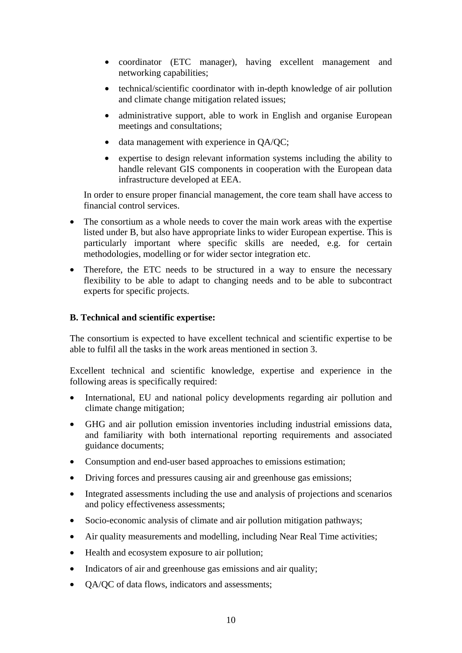- coordinator (ETC manager), having excellent management and networking capabilities;
- technical/scientific coordinator with in-depth knowledge of air pollution and climate change mitigation related issues;
- administrative support, able to work in English and organise European meetings and consultations;
- data management with experience in OA/OC;
- expertise to design relevant information systems including the ability to handle relevant GIS components in cooperation with the European data infrastructure developed at EEA.

In order to ensure proper financial management, the core team shall have access to financial control services.

- The consortium as a whole needs to cover the main work areas with the expertise listed under B, but also have appropriate links to wider European expertise. This is particularly important where specific skills are needed, e.g. for certain methodologies, modelling or for wider sector integration etc.
- Therefore, the ETC needs to be structured in a way to ensure the necessary flexibility to be able to adapt to changing needs and to be able to subcontract experts for specific projects.

### **B. Technical and scientific expertise:**

The consortium is expected to have excellent technical and scientific expertise to be able to fulfil all the tasks in the work areas mentioned in section 3.

Excellent technical and scientific knowledge, expertise and experience in the following areas is specifically required:

- International, EU and national policy developments regarding air pollution and climate change mitigation;
- GHG and air pollution emission inventories including industrial emissions data, and familiarity with both international reporting requirements and associated guidance documents;
- Consumption and end-user based approaches to emissions estimation;
- Driving forces and pressures causing air and greenhouse gas emissions;
- Integrated assessments including the use and analysis of projections and scenarios and policy effectiveness assessments;
- Socio-economic analysis of climate and air pollution mitigation pathways;
- Air quality measurements and modelling, including Near Real Time activities;
- Health and ecosystem exposure to air pollution;
- Indicators of air and greenhouse gas emissions and air quality;
- QA/QC of data flows, indicators and assessments;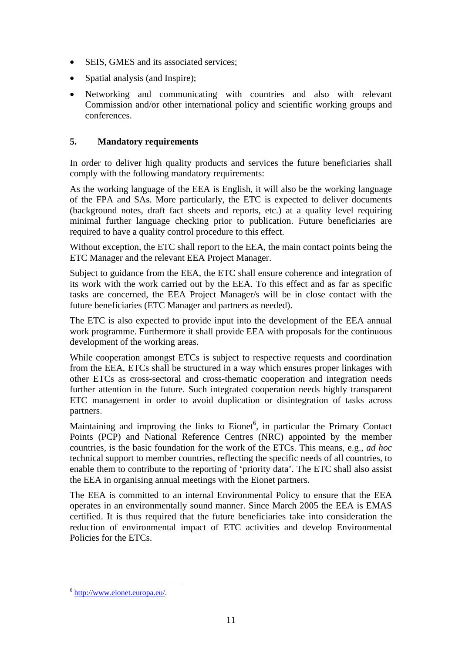- SEIS, GMES and its associated services;
- Spatial analysis (and Inspire);
- Networking and communicating with countries and also with relevant Commission and/or other international policy and scientific working groups and conferences.

# **5. Mandatory requirements**

In order to deliver high quality products and services the future beneficiaries shall comply with the following mandatory requirements:

As the working language of the EEA is English, it will also be the working language of the FPA and SAs. More particularly, the ETC is expected to deliver documents (background notes, draft fact sheets and reports, etc.) at a quality level requiring minimal further language checking prior to publication. Future beneficiaries are required to have a quality control procedure to this effect.

Without exception, the ETC shall report to the EEA, the main contact points being the ETC Manager and the relevant EEA Project Manager.

Subject to guidance from the EEA, the ETC shall ensure coherence and integration of its work with the work carried out by the EEA. To this effect and as far as specific tasks are concerned, the EEA Project Manager/s will be in close contact with the future beneficiaries (ETC Manager and partners as needed).

The ETC is also expected to provide input into the development of the EEA annual work programme. Furthermore it shall provide EEA with proposals for the continuous development of the working areas.

While cooperation amongst ETCs is subject to respective requests and coordination from the EEA, ETCs shall be structured in a way which ensures proper linkages with other ETCs as cross-sectoral and cross-thematic cooperation and integration needs further attention in the future. Such integrated cooperation needs highly transparent ETC management in order to avoid duplication or disintegration of tasks across partners.

Maintaining and improving the links to  $Eionet^6$ , in particular the Primary Contact Points (PCP) and National Reference Centres (NRC) appointed by the member countries, is the basic foundation for the work of the ETCs. This means, e.g., *ad hoc* technical support to member countries, reflecting the specific needs of all countries, to enable them to contribute to the reporting of 'priority data'. The ETC shall also assist the EEA in organising annual meetings with the Eionet partners.

The EEA is committed to an internal Environmental Policy to ensure that the EEA operates in an environmentally sound manner. Since March 2005 the EEA is EMAS certified. It is thus required that the future beneficiaries take into consideration the reduction of environmental impact of ETC activities and develop Environmental Policies for the ETCs.

1

<sup>6</sup> http://www.eionet.europa.eu/.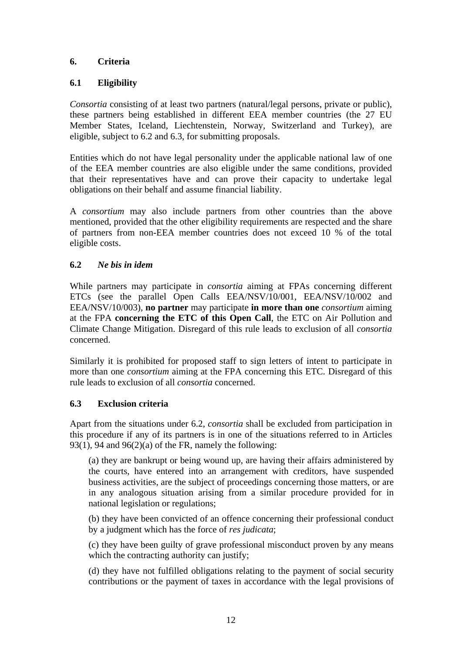# **6. Criteria**

# **6.1 Eligibility**

*Consortia* consisting of at least two partners (natural/legal persons, private or public), these partners being established in different EEA member countries (the 27 EU Member States, Iceland, Liechtenstein, Norway, Switzerland and Turkey), are eligible, subject to 6.2 and 6.3, for submitting proposals.

Entities which do not have legal personality under the applicable national law of one of the EEA member countries are also eligible under the same conditions, provided that their representatives have and can prove their capacity to undertake legal obligations on their behalf and assume financial liability.

A *consortium* may also include partners from other countries than the above mentioned, provided that the other eligibility requirements are respected and the share of partners from non-EEA member countries does not exceed 10 % of the total eligible costs.

# **6.2** *Ne bis in idem*

While partners may participate in *consortia* aiming at FPAs concerning different ETCs (see the parallel Open Calls EEA/NSV/10/001, EEA/NSV/10/002 and EEA/NSV/10/003), **no partner** may participate **in more than one** *consortium* aiming at the FPA **concerning the ETC of this Open Call**, the ETC on Air Pollution and Climate Change Mitigation. Disregard of this rule leads to exclusion of all *consortia* concerned.

Similarly it is prohibited for proposed staff to sign letters of intent to participate in more than one *consortium* aiming at the FPA concerning this ETC. Disregard of this rule leads to exclusion of all *consortia* concerned.

### **6.3 Exclusion criteria**

Apart from the situations under 6.2, *consortia* shall be excluded from participation in this procedure if any of its partners is in one of the situations referred to in Articles 93(1), 94 and 96(2)(a) of the FR, namely the following:

(a) they are bankrupt or being wound up, are having their affairs administered by the courts, have entered into an arrangement with creditors, have suspended business activities, are the subject of proceedings concerning those matters, or are in any analogous situation arising from a similar procedure provided for in national legislation or regulations;

(b) they have been convicted of an offence concerning their professional conduct by a judgment which has the force of *res judicata*;

(c) they have been guilty of grave professional misconduct proven by any means which the contracting authority can justify;

(d) they have not fulfilled obligations relating to the payment of social security contributions or the payment of taxes in accordance with the legal provisions of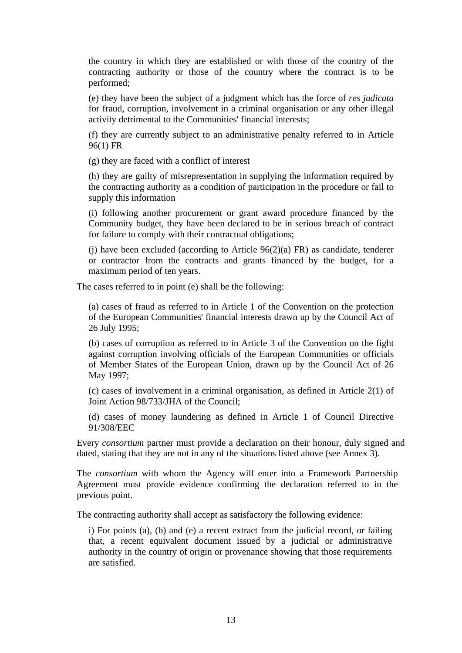the country in which they are established or with those of the country of the contracting authority or those of the country where the contract is to be performed;

(e) they have been the subject of a judgment which has the force of *res judicata* for fraud, corruption, involvement in a criminal organisation or any other illegal activity detrimental to the Communities' financial interests;

(f) they are currently subject to an administrative penalty referred to in Article 96(1) FR

(g) they are faced with a conflict of interest

(h) they are guilty of misrepresentation in supplying the information required by the contracting authority as a condition of participation in the procedure or fail to supply this information

(i) following another procurement or grant award procedure financed by the Community budget, they have been declared to be in serious breach of contract for failure to comply with their contractual obligations;

(j) have been excluded (according to Article  $96(2)(a)$  FR) as candidate, tenderer or contractor from the contracts and grants financed by the budget, for a maximum period of ten years.

The cases referred to in point (e) shall be the following:

(a) cases of fraud as referred to in Article 1 of the Convention on the protection of the European Communities' financial interests drawn up by the Council Act of 26 July 1995;

(b) cases of corruption as referred to in Article 3 of the Convention on the fight against corruption involving officials of the European Communities or officials of Member States of the European Union, drawn up by the Council Act of 26 May 1997;

(c) cases of involvement in a criminal organisation, as defined in Article 2(1) of Joint Action 98/733/JHA of the Council;

(d) cases of money laundering as defined in Article 1 of Council Directive 91/308/EEC

Every *consortium* partner must provide a declaration on their honour, duly signed and dated, stating that they are not in any of the situations listed above (see Annex 3).

The *consortium* with whom the Agency will enter into a Framework Partnership Agreement must provide evidence confirming the declaration referred to in the previous point.

The contracting authority shall accept as satisfactory the following evidence:

i) For points (a), (b) and (e) a recent extract from the judicial record, or failing that, a recent equivalent document issued by a judicial or administrative authority in the country of origin or provenance showing that those requirements are satisfied.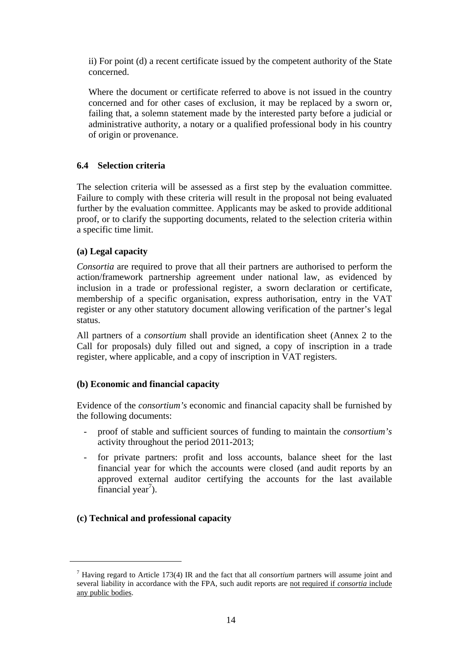ii) For point (d) a recent certificate issued by the competent authority of the State concerned.

Where the document or certificate referred to above is not issued in the country concerned and for other cases of exclusion, it may be replaced by a sworn or, failing that, a solemn statement made by the interested party before a judicial or administrative authority, a notary or a qualified professional body in his country of origin or provenance.

### **6.4 Selection criteria**

The selection criteria will be assessed as a first step by the evaluation committee. Failure to comply with these criteria will result in the proposal not being evaluated further by the evaluation committee. Applicants may be asked to provide additional proof, or to clarify the supporting documents, related to the selection criteria within a specific time limit.

### **(a) Legal capacity**

*Consortia* are required to prove that all their partners are authorised to perform the action/framework partnership agreement under national law, as evidenced by inclusion in a trade or professional register, a sworn declaration or certificate, membership of a specific organisation, express authorisation, entry in the VAT register or any other statutory document allowing verification of the partner's legal status.

All partners of a *consortium* shall provide an identification sheet (Annex 2 to the Call for proposals) duly filled out and signed, a copy of inscription in a trade register, where applicable, and a copy of inscription in VAT registers.

#### **(b) Economic and financial capacity**

Evidence of the *consortium's* economic and financial capacity shall be furnished by the following documents:

- proof of stable and sufficient sources of funding to maintain the *consortium's* activity throughout the period 2011-2013;
- for private partners: profit and loss accounts, balance sheet for the last financial year for which the accounts were closed (and audit reports by an approved external auditor certifying the accounts for the last available financial year<sup>7</sup>).

### **(c) Technical and professional capacity**

1

<sup>7</sup> Having regard to Article 173(4) IR and the fact that all *consortium* partners will assume joint and several liability in accordance with the FPA, such audit reports are not required if *consortia* include any public bodies.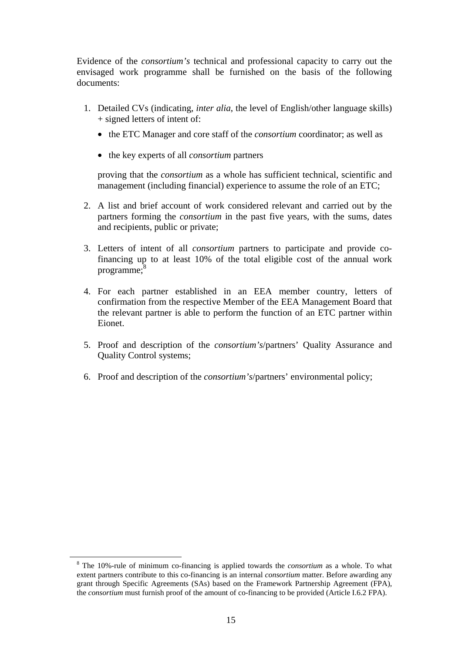Evidence of the *consortium's* technical and professional capacity to carry out the envisaged work programme shall be furnished on the basis of the following documents:

- 1. Detailed CVs (indicating, *inter alia*, the level of English/other language skills) + signed letters of intent of:
	- the ETC Manager and core staff of the *consortium* coordinator; as well as
	- the key experts of all *consortium* partners

proving that the *consortium* as a whole has sufficient technical, scientific and management (including financial) experience to assume the role of an ETC;

- 2. A list and brief account of work considered relevant and carried out by the partners forming the *consortium* in the past five years, with the sums, dates and recipients, public or private;
- 3. Letters of intent of all *consortium* partners to participate and provide cofinancing up to at least 10% of the total eligible cost of the annual work programme:<sup>8</sup>
- 4. For each partner established in an EEA member country, letters of confirmation from the respective Member of the EEA Management Board that the relevant partner is able to perform the function of an ETC partner within Eionet.
- 5. Proof and description of the *consortium's*/partners' Quality Assurance and Quality Control systems;
- 6. Proof and description of the *consortium's*/partners' environmental policy;

 <sup>8</sup> The 10%-rule of minimum co-financing is applied towards the *consortium* as a whole. To what extent partners contribute to this co-financing is an internal *consortium* matter. Before awarding any grant through Specific Agreements (SAs) based on the Framework Partnership Agreement (FPA), the *consortium* must furnish proof of the amount of co-financing to be provided (Article I.6.2 FPA).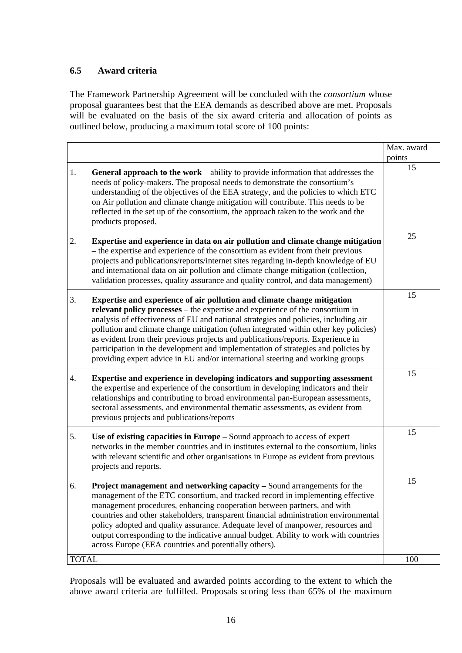# **6.5 Award criteria**

The Framework Partnership Agreement will be concluded with the *consortium* whose proposal guarantees best that the EEA demands as described above are met. Proposals will be evaluated on the basis of the six award criteria and allocation of points as outlined below, producing a maximum total score of 100 points:

|              |                                                                                                                                                                                                                                                                                                                                                                                                                                                                                                                                                                                                   | Max. award   |
|--------------|---------------------------------------------------------------------------------------------------------------------------------------------------------------------------------------------------------------------------------------------------------------------------------------------------------------------------------------------------------------------------------------------------------------------------------------------------------------------------------------------------------------------------------------------------------------------------------------------------|--------------|
| 1.           | <b>General approach to the work</b> – ability to provide information that addresses the<br>needs of policy-makers. The proposal needs to demonstrate the consortium's<br>understanding of the objectives of the EEA strategy, and the policies to which ETC<br>on Air pollution and climate change mitigation will contribute. This needs to be<br>reflected in the set up of the consortium, the approach taken to the work and the<br>products proposed.                                                                                                                                        | points<br>15 |
| 2.           | Expertise and experience in data on air pollution and climate change mitigation<br>- the expertise and experience of the consortium as evident from their previous<br>projects and publications/reports/internet sites regarding in-depth knowledge of EU<br>and international data on air pollution and climate change mitigation (collection,<br>validation processes, quality assurance and quality control, and data management)                                                                                                                                                              | 25           |
| 3.           | Expertise and experience of air pollution and climate change mitigation<br>relevant policy processes – the expertise and experience of the consortium in<br>analysis of effectiveness of EU and national strategies and policies, including air<br>pollution and climate change mitigation (often integrated within other key policies)<br>as evident from their previous projects and publications/reports. Experience in<br>participation in the development and implementation of strategies and policies by<br>providing expert advice in EU and/or international steering and working groups | 15           |
| 4.           | Expertise and experience in developing indicators and supporting assessment -<br>the expertise and experience of the consortium in developing indicators and their<br>relationships and contributing to broad environmental pan-European assessments,<br>sectoral assessments, and environmental thematic assessments, as evident from<br>previous projects and publications/reports                                                                                                                                                                                                              | 15           |
| 5.           | Use of existing capacities in Europe – Sound approach to access of expert<br>networks in the member countries and in institutes external to the consortium, links<br>with relevant scientific and other organisations in Europe as evident from previous<br>projects and reports.                                                                                                                                                                                                                                                                                                                 | 15           |
| 6.           | <b>Project management and networking capacity</b> – Sound arrangements for the<br>management of the ETC consortium, and tracked record in implementing effective<br>management procedures, enhancing cooperation between partners, and with<br>countries and other stakeholders, transparent financial administration environmental<br>policy adopted and quality assurance. Adequate level of manpower, resources and<br>output corresponding to the indicative annual budget. Ability to work with countries<br>across Europe (EEA countries and potentially others).                           | 15           |
| <b>TOTAL</b> |                                                                                                                                                                                                                                                                                                                                                                                                                                                                                                                                                                                                   | 100          |

Proposals will be evaluated and awarded points according to the extent to which the above award criteria are fulfilled. Proposals scoring less than 65% of the maximum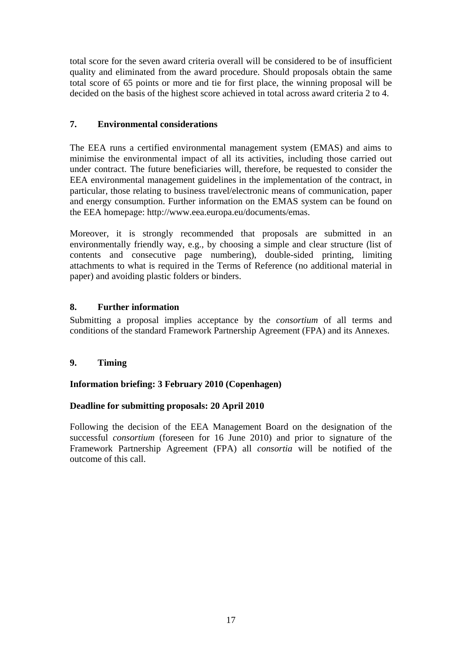total score for the seven award criteria overall will be considered to be of insufficient quality and eliminated from the award procedure. Should proposals obtain the same total score of 65 points or more and tie for first place, the winning proposal will be decided on the basis of the highest score achieved in total across award criteria 2 to 4.

# **7. Environmental considerations**

The EEA runs a certified environmental management system (EMAS) and aims to minimise the environmental impact of all its activities, including those carried out under contract. The future beneficiaries will, therefore, be requested to consider the EEA environmental management guidelines in the implementation of the contract, in particular, those relating to business travel/electronic means of communication, paper and energy consumption. Further information on the EMAS system can be found on the EEA homepage: http://www.eea.europa.eu/documents/emas.

Moreover, it is strongly recommended that proposals are submitted in an environmentally friendly way, e.g., by choosing a simple and clear structure (list of contents and consecutive page numbering), double-sided printing, limiting attachments to what is required in the Terms of Reference (no additional material in paper) and avoiding plastic folders or binders.

# **8. Further information**

Submitting a proposal implies acceptance by the *consortium* of all terms and conditions of the standard Framework Partnership Agreement (FPA) and its Annexes.

# **9. Timing**

### **Information briefing: 3 February 2010 (Copenhagen)**

### **Deadline for submitting proposals: 20 April 2010**

Following the decision of the EEA Management Board on the designation of the successful *consortium* (foreseen for 16 June 2010) and prior to signature of the Framework Partnership Agreement (FPA) all *consortia* will be notified of the outcome of this call.